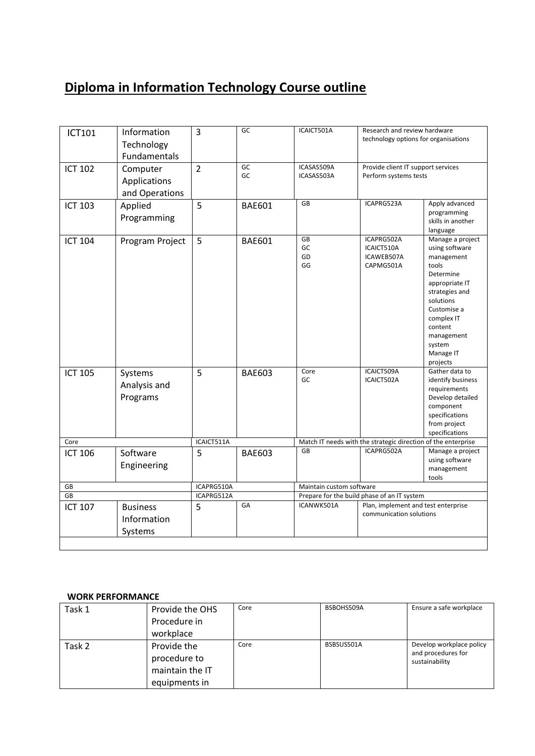## **Diploma in Information Technology Course outline**

| ICT101         | Information<br>Technology<br>Fundamentals  | 3              | GC            | ICAICT501A                                                    | Research and review hardware<br>technology options for organisations |                                                                                                                                                                                                                  |
|----------------|--------------------------------------------|----------------|---------------|---------------------------------------------------------------|----------------------------------------------------------------------|------------------------------------------------------------------------------------------------------------------------------------------------------------------------------------------------------------------|
| <b>ICT 102</b> | Computer<br>Applications<br>and Operations | $\overline{2}$ | GC<br>GC      | ICASAS509A<br>ICASAS503A                                      | Provide client IT support services<br>Perform systems tests          |                                                                                                                                                                                                                  |
| <b>ICT 103</b> | Applied<br>Programming                     | 5              | <b>BAE601</b> | GB                                                            | ICAPRG523A                                                           | Apply advanced<br>programming<br>skills in another<br>language                                                                                                                                                   |
| <b>ICT 104</b> | Program Project                            | 5              | <b>BAE601</b> | GB<br>GC<br>GD<br>GG                                          | ICAPRG502A<br>ICAICT510A<br>ICAWEB507A<br>CAPMG501A                  | Manage a project<br>using software<br>management<br>tools<br>Determine<br>appropriate IT<br>strategies and<br>solutions<br>Customise a<br>complex IT<br>content<br>management<br>system<br>Manage IT<br>projects |
| <b>ICT 105</b> | Systems<br>Analysis and<br>Programs        | 5              | <b>BAE603</b> | Core<br>GC                                                    | ICAICT509A<br>ICAICT502A                                             | Gather data to<br>identify business<br>requirements<br>Develop detailed<br>component<br>specifications<br>from project<br>specifications                                                                         |
| Core           |                                            | ICAICT511A     |               | Match IT needs with the strategic direction of the enterprise |                                                                      |                                                                                                                                                                                                                  |
| <b>ICT 106</b> | Software<br>Engineering                    | 5              | <b>BAE603</b> | GB                                                            | ICAPRG502A                                                           | Manage a project<br>using software<br>management<br>tools                                                                                                                                                        |
| GB             |                                            | ICAPRG510A     |               | Maintain custom software                                      |                                                                      |                                                                                                                                                                                                                  |
| GB             |                                            | ICAPRG512A     |               | Prepare for the build phase of an IT system                   |                                                                      |                                                                                                                                                                                                                  |
| <b>ICT 107</b> | <b>Business</b><br>Information<br>Systems  | 5              | GA            | ICANWK501A                                                    | Plan, implement and test enterprise<br>communication solutions       |                                                                                                                                                                                                                  |

## **WORK PERFORMANCE**

| Task 1 | Provide the OHS                                | Core | BSBOHS509A | Ensure a safe workplace                                          |
|--------|------------------------------------------------|------|------------|------------------------------------------------------------------|
|        | Procedure in                                   |      |            |                                                                  |
|        | workplace                                      |      |            |                                                                  |
| Task 2 | Provide the<br>procedure to<br>maintain the IT | Core | BSBSUS501A | Develop workplace policy<br>and procedures for<br>sustainability |
|        | equipments in                                  |      |            |                                                                  |